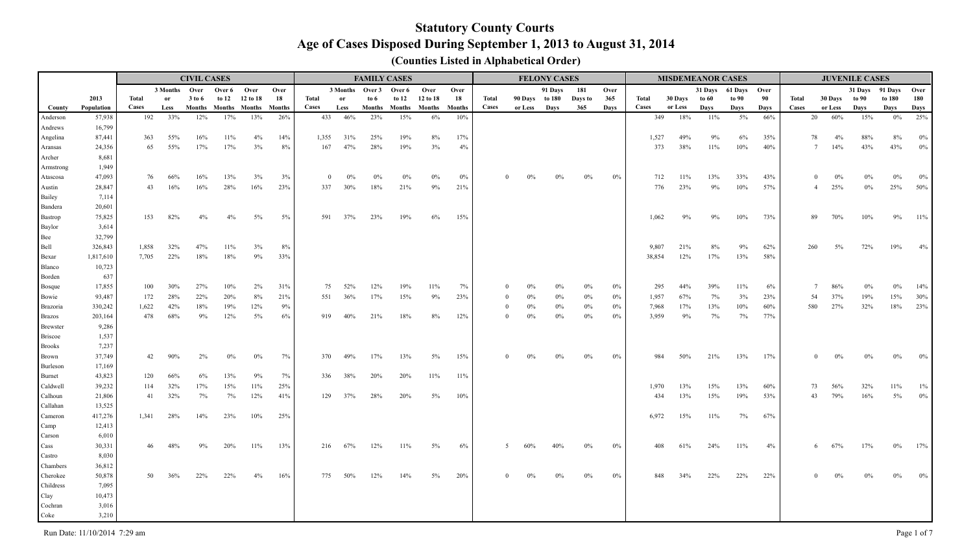|                    |                 |       |               | <b>CIVIL CASES</b> |                      |          |               |              |                 |        | <b>FAMILY CASES</b>  |          |               |              |         | <b>FELONY CASES</b> |         |       |            |         | <b>MISDEMEANOR CASES</b> |              |       |              |                        | <b>JUVENILE CASES</b> |                 |              |
|--------------------|-----------------|-------|---------------|--------------------|----------------------|----------|---------------|--------------|-----------------|--------|----------------------|----------|---------------|--------------|---------|---------------------|---------|-------|------------|---------|--------------------------|--------------|-------|--------------|------------------------|-----------------------|-----------------|--------------|
|                    |                 |       | 3 Months Over |                    | Over 6 Over          |          | Over          |              | 3 Months Over 3 |        | Over 6               | Over     | Over          |              |         | 91 Days             | 181     | Over  |            |         | 31 Days                  | 61 Days Over |       |              |                        |                       | 31 Days 91 Days | Over         |
|                    | 2013            | Total | or            | 3 to 6             | to 12                | 12 to 18 | 18            | <b>Total</b> | <b>or</b>       | to $6$ | to 12                | 12 to 18 | 18            | Total        | 90 Days | to 180              | Days to | 365   | Total      | 30 Days | to 60                    | to 90        | 90    | <b>Total</b> | 30 Days                | to 90                 | to 180          | 180          |
| County             | Population      | Cases | Less          |                    | Months Months Months |          | <b>Months</b> | <b>Cases</b> | Less            |        | Months Months Months |          | <b>Months</b> | <b>Cases</b> | or Less | Days                | 365     | Days  | Cases      | or Less | Days                     | Days         | Days  | <b>Cases</b> | or Less                | Days                  | Days            | Days         |
| Anderson           | 57,938          | 192   | 33%           | 12%                | 17%                  | 13%      | 26%           | 433          | 46%             | 23%    | 15%                  | 6%       | 10%           |              |         |                     |         |       | 349        | 18%     | 11%                      | $5\%$        | 66%   |              | 20<br>60%              | 15%                   | $0\%$           | 25%          |
| Andrews            | 16,799          |       |               |                    |                      |          |               |              |                 |        |                      |          |               |              |         |                     |         |       |            |         |                          |              |       |              |                        |                       |                 |              |
| Angelina           | 87,441          | 363   | 55%           | 16%                | 11%                  | 4%       | 14%           | 1,355        | 31%             | 25%    | 19%                  | 8%       | 17%           |              |         |                     |         |       | 1,527      | 49%     | $9\%$                    | $6\%$        | 35%   |              | 78<br>4%               | 88%                   | $8\%$           | $0\%$        |
| Aransas            | 24,356          | 65    | 55%           | 17%                | 17%                  | 3%       | 8%            | 167          | 47%             | 28%    | 19%                  | 3%       | 4%            |              |         |                     |         |       | 373        | 38%     | 11%                      | 10%          | 40%   |              | $7\overline{ }$<br>14% | 43%                   | 43%             | $0\%$        |
| Archer             | 8,681<br>1,949  |       |               |                    |                      |          |               |              |                 |        |                      |          |               |              |         |                     |         |       |            |         |                          |              |       |              |                        |                       |                 |              |
| Armstrong          | 47,093          | 76    | 66%           | 16%                | 13%                  | 3%       |               | $\bf{0}$     | $0\%$           | $0\%$  | 0%                   | 0%       | 0%            | $\theta$     | $0\%$   | $0\%$               | $0\%$   | 0%    |            | 11%     | 13%                      |              | 43%   |              | $\overline{0}$<br>0%   | $0\%$                 | $0\%$           |              |
| Atascosa<br>Austin | 28,847          | 43    | 16%           | 16%                | 28%                  | 16%      | 3%<br>23%     | 337          | 30%             | 18%    | 21%                  | 9%       | 21%           |              |         |                     |         |       | 712<br>776 | 23%     | 9%                       | 33%<br>10%   | 57%   |              | 25%<br>$\overline{4}$  | 0%                    | 25%             | $0\%$<br>50% |
| Bailey             | 7,114           |       |               |                    |                      |          |               |              |                 |        |                      |          |               |              |         |                     |         |       |            |         |                          |              |       |              |                        |                       |                 |              |
| Bandera            | 20,601          |       |               |                    |                      |          |               |              |                 |        |                      |          |               |              |         |                     |         |       |            |         |                          |              |       |              |                        |                       |                 |              |
| Bastrop            | 75,825          | 153   | 82%           | 4%                 | $4\%$                | 5%       | $5\%$         | 591          | 37%             | 23%    | 19%                  | 6%       | 15%           |              |         |                     |         |       | 1,062      | 9%      | 9%                       | 10%          | 73%   |              | 89<br>70%              | 10%                   | 9%              | $11\%$       |
| Baylor             | 3,614           |       |               |                    |                      |          |               |              |                 |        |                      |          |               |              |         |                     |         |       |            |         |                          |              |       |              |                        |                       |                 |              |
| Bee                | 32,799          |       |               |                    |                      |          |               |              |                 |        |                      |          |               |              |         |                     |         |       |            |         |                          |              |       |              |                        |                       |                 |              |
| Bell               | 326,843         | 1,858 | 32%           | 47%                | 11%                  | 3%       | 8%            |              |                 |        |                      |          |               |              |         |                     |         |       | 9,807      | 21%     | 8%                       | 9%           | 62%   |              | 260<br>5%              | 72%                   | 19%             | 4%           |
| Bexar              | 1,817,610       | 7,705 | 22%           | 18%                | 18%                  | 9%       | 33%           |              |                 |        |                      |          |               |              |         |                     |         |       | 38,854     | 12%     | 17%                      | 13%          | 58%   |              |                        |                       |                 |              |
| Blanco             | 10,723          |       |               |                    |                      |          |               |              |                 |        |                      |          |               |              |         |                     |         |       |            |         |                          |              |       |              |                        |                       |                 |              |
| Borden             | 637             |       |               |                    |                      |          |               |              |                 |        |                      |          |               |              |         |                     |         |       |            |         |                          |              |       |              |                        |                       |                 |              |
| <b>Bosque</b>      | 17,855          | 100   | 30%           | 27%                | 10%                  | 2%       | 31%           | 75           | 52%             | 12%    | 19%                  | 11%      | 7%            |              | $0\%$   |                     | $0\%$   | 0%    | 295        | 44%     | 39%                      | 11%          | $6\%$ |              | 86%                    | $0\%$                 | $0\%$           | 14%          |
| Bowie              | 93,487          | 172   | 28%           | 22%                | 20%                  | 8%       | 21%           | 551          | 36%             | 17%    | 15%                  | 9%       | 23%           |              | $0\%$   | 0%                  | $0\%$   | 0%    | 1,957      | 67%     | 7%                       | 3%           | 23%   |              | 54<br>37%              | 19%                   | 15%             | 30%          |
| <b>Brazoria</b>    | 330,242         | 1,622 | 42%           | 18%                | 19%                  | 12%      | 9%            |              |                 |        |                      |          |               | $\theta$     | $0\%$   | $0\%$               | $0\%$   | 0%    | 7,968      | 17%     | 13%                      | 10%          | 60%   |              | 580<br>27%             | 32%                   | 18%             | 23%          |
| <b>Brazos</b>      | 203,164         | 478   | 68%           | 9%                 | 12%                  | 5%       | $6\%$         | 919          | 40%             | 21%    | 18%                  | 8%       | 12%           | $\Omega$     | $0\%$   | $0\%$               | $0\%$   | 0%    | 3,959      | 9%      | 7%                       | 7%           | 77%   |              |                        |                       |                 |              |
| <b>Brewster</b>    | 9,286           |       |               |                    |                      |          |               |              |                 |        |                      |          |               |              |         |                     |         |       |            |         |                          |              |       |              |                        |                       |                 |              |
| <b>Briscoe</b>     | 1,537           |       |               |                    |                      |          |               |              |                 |        |                      |          |               |              |         |                     |         |       |            |         |                          |              |       |              |                        |                       |                 |              |
| <b>Brooks</b>      | 7,237           |       |               |                    |                      |          |               |              |                 |        |                      |          |               |              |         |                     |         |       |            |         |                          |              |       |              |                        |                       |                 |              |
| Brown              | 37,749          | 42    | 90%           | 2%                 | $0\%$                | $0\%$    | 7%            | 370          | 49%             | 17%    | 13%                  | $5\%$    | 15%           | $\Omega$     |         |                     | $0\%$   | $0\%$ | 984        | 50%     | 21%                      | 13%          | 17%   |              | 0%<br>$\Omega$         | $0\%$                 | $0\%$           | $0\%$        |
| Burleson           | 17,169          |       |               |                    |                      |          |               |              |                 |        |                      |          |               |              |         |                     |         |       |            |         |                          |              |       |              |                        |                       |                 |              |
| Burnet             | 43,823          | 120   | 66%           | 6%                 | 13%                  | 9%       | 7%            | 336          | 38%             | 20%    | 20%                  | 11%      | 11%           |              |         |                     |         |       |            |         |                          |              |       |              |                        |                       |                 |              |
| Caldwell           | 39,232          | 114   | 32%           | 17%                | 15%                  | 11%      | 25%           |              |                 |        |                      |          |               |              |         |                     |         |       | 1,970      | 13%     | 15%                      | 13%          | 60%   |              | 56%<br>73              | 32%                   | 11%             | $1\%$        |
| Calhoun            | 21,806          | 41    | 32%           | 7%                 | 7%                   | 12%      | 41%           | 129          | 37%             | 28%    | 20%                  | $5\%$    | 10%           |              |         |                     |         |       | 434        | 13%     | 15%                      | 19%          | 53%   |              | 79%<br>43              | 16%                   | $5\%$           | $0\%$        |
| Callahan           | 13,525          |       |               |                    |                      |          |               |              |                 |        |                      |          |               |              |         |                     |         |       |            |         |                          |              |       |              |                        |                       |                 |              |
| Cameron            | 417,276         | 1,341 | 28%           | 14%                | 23%                  | 10%      | 25%           |              |                 |        |                      |          |               |              |         |                     |         |       | 6,972      | 15%     | 11%                      | 7%           | 67%   |              |                        |                       |                 |              |
| Camp               | 12,413          |       |               |                    |                      |          |               |              |                 |        |                      |          |               |              |         |                     |         |       |            |         |                          |              |       |              |                        |                       |                 |              |
| Carson             | 6,010<br>30,331 | 46    | 48%           | 9%                 | 20%                  | 11%      | 13%           |              | 216 67%         |        |                      | $5\%$    | 6%            |              |         |                     |         | $0\%$ | 408        | 61%     | 24%                      |              | 4%    |              | 6                      |                       | $0\%$           | 17%          |
| Cass               | 8,030           |       |               |                    |                      |          |               |              |                 | 12%    | 11%                  |          |               |              |         |                     |         |       |            |         |                          | 11%          |       |              | 67%                    | 17%                   |                 |              |
| Castro<br>Chambers | 36,812          |       |               |                    |                      |          |               |              |                 |        |                      |          |               |              |         |                     |         |       |            |         |                          |              |       |              |                        |                       |                 |              |
| Cherokee           | 50,878          | 50    | 36%           | 22%                | 22%                  | $4\%$    | 16%           | 775          | 50%             | 12%    | 14%                  | 5%       | 20%           | $\theta$     |         |                     |         | $0\%$ | 848        | 34%     | 22%                      | 22%          | 22%   |              | 0%                     |                       | $0\%$           | 0%           |
| Childress          | 7,095           |       |               |                    |                      |          |               |              |                 |        |                      |          |               |              |         |                     |         |       |            |         |                          |              |       |              |                        |                       |                 |              |
| Clay               | 10,473          |       |               |                    |                      |          |               |              |                 |        |                      |          |               |              |         |                     |         |       |            |         |                          |              |       |              |                        |                       |                 |              |
| Cochran            | 3,016           |       |               |                    |                      |          |               |              |                 |        |                      |          |               |              |         |                     |         |       |            |         |                          |              |       |              |                        |                       |                 |              |
| Coke               | 3,210           |       |               |                    |                      |          |               |              |                 |        |                      |          |               |              |         |                     |         |       |            |         |                          |              |       |              |                        |                       |                 |              |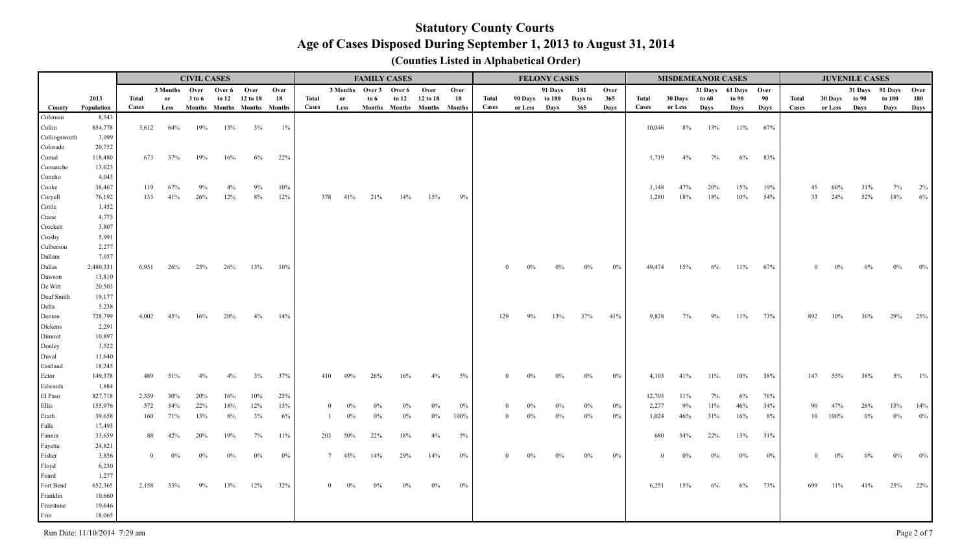|                    |                   |              |               | <b>CIVIL CASES</b>          |             |                |       |       |                   | <b>FAMILY CASES</b>    |       |                             |       |          |                | <b>FELONY CASES</b> |         |       |              |         |       | <b>MISDEMEANOR CASES</b> |       |              |               | <b>JUVENILE CASES</b> |        |       |
|--------------------|-------------------|--------------|---------------|-----------------------------|-------------|----------------|-------|-------|-------------------|------------------------|-------|-----------------------------|-------|----------|----------------|---------------------|---------|-------|--------------|---------|-------|--------------------------|-------|--------------|---------------|-----------------------|--------|-------|
|                    |                   |              | 3 Months Over |                             | Over 6 Over |                | Over  |       |                   | 3 Months Over 3 Over 6 |       | Over                        | Over  |          |                | 91 Days             | 181     | Over  |              |         |       | 31 Days 61 Days Over     |       |              |               | 31 Days 91 Days       |        | Over  |
|                    | 2013              | <b>Total</b> | <b>or</b>     | 3 to 6                      |             | to 12 12 to 18 | 18    | Total | or                | to $6$                 | to 12 | 12 to 18                    | 18    | Total    | 90 Days to 180 |                     | Days to | 365   | Total        | 30 Days | to 60 | to 90                    | 90    | <b>Total</b> | 30 Days to 90 |                       | to 180 | 180   |
| County             | Population        | <b>Cases</b> | Less          | Months Months Months Months |             |                |       | Cases | Less              |                        |       | Months Months Months Months |       | Cases    | or Less Days   |                     | 365     | Days  | Cases        | or Less | Days  | Days                     | Days  | Cases        | or Less Days  |                       | Days   | Days  |
| Coleman            | 8,543             |              |               |                             |             |                |       |       |                   |                        |       |                             |       |          |                |                     |         |       |              |         |       |                          |       |              |               |                       |        |       |
| Collin             | 854,778           | 3,612        | 64%           | 19%                         | 13%         | 3%             | $1\%$ |       |                   |                        |       |                             |       |          |                |                     |         |       | 10,046       | 8%      | 13%   | $11\%$                   | 67%   |              |               |                       |        |       |
| Collingsworth      | 3,099             |              |               |                             |             |                |       |       |                   |                        |       |                             |       |          |                |                     |         |       |              |         |       |                          |       |              |               |                       |        |       |
| Colorado           | 20,752            |              |               |                             |             |                |       |       |                   |                        |       |                             |       |          |                |                     |         |       |              |         |       |                          |       |              |               |                       |        |       |
| Comal<br>Comanche  | 118,480<br>13,623 | 673          | 37%           | 19%                         | 16%         | 6%             | 22%   |       |                   |                        |       |                             |       |          |                |                     |         |       | 1,719        | 4%      | 7%    | $6\%$                    | 83%   |              |               |                       |        |       |
| Concho             | 4,043             |              |               |                             |             |                |       |       |                   |                        |       |                             |       |          |                |                     |         |       |              |         |       |                          |       |              |               |                       |        |       |
| Cooke              | 38,467            | 119          | 67%           | 9%                          | 4%          | 9%             | 10%   |       |                   |                        |       |                             |       |          |                |                     |         |       | 1,148        | 47%     | 20%   | 15%                      | 19%   |              | 45<br>60%     | 31%                   | 7%     | 2%    |
| Coryell            | 76,192            | 133          | 41%           | 26%                         | 12%         | 8%             | 12%   |       | 378<br>41%        | 21%                    | 14%   | 15%                         | $9\%$ |          |                |                     |         |       | 1,280        | 18%     | 18%   | 10%                      | 54%   |              | 33<br>24%     | 52%                   | 18%    | 6%    |
| Cottle             | 1,452             |              |               |                             |             |                |       |       |                   |                        |       |                             |       |          |                |                     |         |       |              |         |       |                          |       |              |               |                       |        |       |
| Crane              | 4,773             |              |               |                             |             |                |       |       |                   |                        |       |                             |       |          |                |                     |         |       |              |         |       |                          |       |              |               |                       |        |       |
| Crockett           | 3,807             |              |               |                             |             |                |       |       |                   |                        |       |                             |       |          |                |                     |         |       |              |         |       |                          |       |              |               |                       |        |       |
| Crosby             | 5,991             |              |               |                             |             |                |       |       |                   |                        |       |                             |       |          |                |                     |         |       |              |         |       |                          |       |              |               |                       |        |       |
| Culberson          | 2,277             |              |               |                             |             |                |       |       |                   |                        |       |                             |       |          |                |                     |         |       |              |         |       |                          |       |              |               |                       |        |       |
| Dallam             | 7,057             |              |               |                             |             |                |       |       |                   |                        |       |                             |       |          |                |                     |         |       |              |         |       |                          |       |              |               |                       |        |       |
| Dallas             | 2,480,331         | 6.951        | 26%           | 25%                         | 26%         | 13%            | 10%   |       |                   |                        |       |                             |       |          | $0\%$          |                     | $0\%$   | $0\%$ | 49,474       | 15%     | 6%    | $11\%$                   | 67%   |              |               |                       |        | 0%    |
| Dawson             | 13,810            |              |               |                             |             |                |       |       |                   |                        |       |                             |       |          |                |                     |         |       |              |         |       |                          |       |              |               |                       |        |       |
| De Witt            | 20,503            |              |               |                             |             |                |       |       |                   |                        |       |                             |       |          |                |                     |         |       |              |         |       |                          |       |              |               |                       |        |       |
| Deaf Smith         | 19,177            |              |               |                             |             |                |       |       |                   |                        |       |                             |       |          |                |                     |         |       |              |         |       |                          |       |              |               |                       |        |       |
| Delta              | 5,238             |              |               |                             |             |                |       |       |                   |                        |       |                             |       |          |                |                     |         |       |              |         |       |                          |       |              |               |                       |        |       |
| Denton             | 728,799           | 4.002        | 45%           | 16%                         | 20%         | $4\%$          | 14%   |       |                   |                        |       |                             |       | 129      | 9%             | 13%                 | 37%     | 41%   | 9,828        | 7%      | 9%    | $11\%$                   | 73%   | 892          | 10%           | 36%                   | 29%    | 25%   |
| Dickens            | 2,291             |              |               |                             |             |                |       |       |                   |                        |       |                             |       |          |                |                     |         |       |              |         |       |                          |       |              |               |                       |        |       |
| Dimmit             | 10,897            |              |               |                             |             |                |       |       |                   |                        |       |                             |       |          |                |                     |         |       |              |         |       |                          |       |              |               |                       |        |       |
| Donley             | 3,522             |              |               |                             |             |                |       |       |                   |                        |       |                             |       |          |                |                     |         |       |              |         |       |                          |       |              |               |                       |        |       |
| Duval              | 11,640            |              |               |                             |             |                |       |       |                   |                        |       |                             |       |          |                |                     |         |       |              |         |       |                          |       |              |               |                       |        |       |
| Eastland           | 18,245            |              |               |                             |             |                |       |       |                   |                        |       |                             |       |          |                |                     |         |       |              |         |       |                          |       |              |               |                       |        |       |
| Ector              | 149,378           | 489          | 51%           | 4%                          | $4\%$       | 3%             | 37%   |       | 49%<br>410        | 26%                    | 16%   | 4%                          | $5\%$ | $\Omega$ | $0\%$          | $0\%$               | $0\%$   | $0\%$ | 4,103        | 41%     | 11%   | $10\%$                   | 38%   | 147          | 55%           | 38%                   | $5\%$  | $1\%$ |
| Edwards<br>El Paso | 1,884<br>827,718  | 2,359        | 30%           | 20%                         | 16%         | 10%            | 23%   |       |                   |                        |       |                             |       |          |                |                     |         |       | 12,705       | 11%     | 7%    | 6%                       | 76%   |              |               |                       |        |       |
| Ellis              | 155,976           | 572          | 34%           | 22%                         | 18%         | 12%            | 13%   |       | $0\%$             | 0%                     | $0\%$ | $0\%$                       | $0\%$ |          | $0\%$          | $0\%$               | $0\%$   | $0\%$ | 2,277        | 9%      | 11%   | 46%                      | 34%   |              | 90<br>47%     | 26%                   | 13%    | 14%   |
| Erath              | 39,658            | 160          | 71%           | 13%                         | 8%          | 3%             | 6%    |       | $0\%$             | 0%                     | $0\%$ | $0\%$                       | 100%  | $\Omega$ | $0\%$          | 0%                  | $0\%$   | $0\%$ | 1,024        | 46%     | 31%   | 16%                      | $8\%$ |              | 10<br>100%    | $0\%$                 | $0\%$  | $0\%$ |
| Falls              | 17,493            |              |               |                             |             |                |       |       |                   |                        |       |                             |       |          |                |                     |         |       |              |         |       |                          |       |              |               |                       |        |       |
| Fannin             | 33,659            | 88           | 42%           | 20%                         | 19%         | 7%             | 11%   |       | 50%<br>203        | 22%                    | 18%   | 4%                          | $5\%$ |          |                |                     |         |       | 680          | 34%     | 22%   | 13%                      | 31%   |              |               |                       |        |       |
| Fayette            | 24,821            |              |               |                             |             |                |       |       |                   |                        |       |                             |       |          |                |                     |         |       |              |         |       |                          |       |              |               |                       |        |       |
| Fisher             | 3,856             | $\Omega$     | 0%            | 0%                          | $0\%$       | $0\%$          | 0%    |       | 43%<br>7          | 14%                    | 29%   | 14%                         | $0\%$ |          |                |                     | 0%      | $0\%$ | $\mathbf{0}$ | 0%      | $0\%$ | 0%                       | 0%    |              |               |                       | $0\%$  | $0\%$ |
| Floyd              | 6,230             |              |               |                             |             |                |       |       |                   |                        |       |                             |       |          |                |                     |         |       |              |         |       |                          |       |              |               |                       |        |       |
| Foard              | 1,277             |              |               |                             |             |                |       |       |                   |                        |       |                             |       |          |                |                     |         |       |              |         |       |                          |       |              |               |                       |        |       |
| Fort Bend          | 652,365           | 2,158        | 33%           | 9%                          | 13%         | 12%            | 32%   |       | $\bf{0}$<br>$0\%$ | $0\%$                  | $0\%$ | $0\%$                       | $0\%$ |          |                |                     |         |       | 6,251        | 15%     | 6%    | 6%                       | 73%   | 699          | 11%           | 41%                   | 25%    | 22%   |
| Franklin           | 10,660            |              |               |                             |             |                |       |       |                   |                        |       |                             |       |          |                |                     |         |       |              |         |       |                          |       |              |               |                       |        |       |
| Freestone          | 19,646            |              |               |                             |             |                |       |       |                   |                        |       |                             |       |          |                |                     |         |       |              |         |       |                          |       |              |               |                       |        |       |
| Frio               | 18,065            |              |               |                             |             |                |       |       |                   |                        |       |                             |       |          |                |                     |         |       |              |         |       |                          |       |              |               |                       |        |       |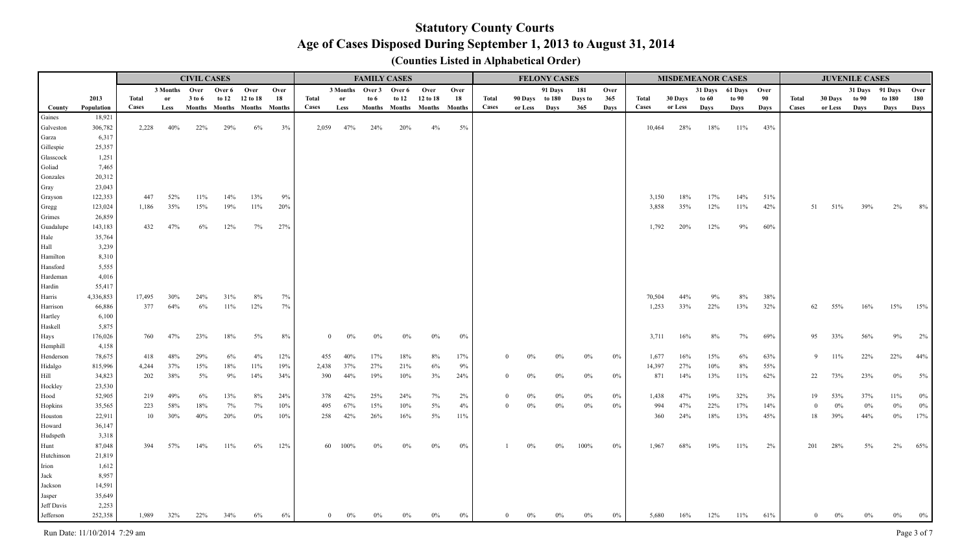|                         |                  |        |               | <b>CIVIL CASES</b> |       |                             |      |              |               |                 | <b>FAMILY CASES</b>  |          |        |          |         | <b>FELONY CASES</b> |         |       |        |         | <b>MISDEMEANOR CASES</b> |              |       |       |                         | <b>JUVENILE CASES</b> |                 |       |
|-------------------------|------------------|--------|---------------|--------------------|-------|-----------------------------|------|--------------|---------------|-----------------|----------------------|----------|--------|----------|---------|---------------------|---------|-------|--------|---------|--------------------------|--------------|-------|-------|-------------------------|-----------------------|-----------------|-------|
|                         |                  |        | 3 Months Over |                    |       | Over 6 Over                 | Over |              |               | 3 Months Over 3 | Over 6               | Over     | Over   |          |         | 91 Days             | 181     | Over  |        |         | 31 Days                  | 61 Days Over |       |       |                         |                       | 31 Days 91 Days | Over  |
|                         | 2013             | Total  | or            | 3 to 6             | to 12 | 12 to 18                    | 18   | Total        | <sub>or</sub> | to $6\,$        | to $12$              | 12 to 18 | 18     | Total    |         | 90 Days to 180      | Days to | 365   | Total  | 30 Days | to 60                    | to 90        | 90    | Total | 30 Days                 | to 90                 | to 180          | 180   |
| County                  | Population       | Cases  | Less          |                    |       | Months Months Months Months |      | <b>Cases</b> | Less          |                 | Months Months Months |          | Months | Cases    | or Less | Days                | 365     | Days  | Cases  | or Less | Days                     | Days         | Days  | Cases | or Less                 | Days                  | Days            | Days  |
| Gaines                  | 18,921           |        |               |                    |       |                             |      |              |               |                 |                      |          |        |          |         |                     |         |       |        |         |                          |              |       |       |                         |                       |                 |       |
| Galveston               | 306,782          | 2,228  | 40%           | 22%                | 29%   | 6%                          | 3%   | 2,059        | 47%           | 24%             | 20%                  | 4%       | 5%     |          |         |                     |         |       | 10,464 | 28%     | 18%                      | 11%          | 43%   |       |                         |                       |                 |       |
| Garza                   | 6,317            |        |               |                    |       |                             |      |              |               |                 |                      |          |        |          |         |                     |         |       |        |         |                          |              |       |       |                         |                       |                 |       |
| Gillespie               | 25,357           |        |               |                    |       |                             |      |              |               |                 |                      |          |        |          |         |                     |         |       |        |         |                          |              |       |       |                         |                       |                 |       |
| Glasscock               | 1,251            |        |               |                    |       |                             |      |              |               |                 |                      |          |        |          |         |                     |         |       |        |         |                          |              |       |       |                         |                       |                 |       |
| Goliad                  | 7,465            |        |               |                    |       |                             |      |              |               |                 |                      |          |        |          |         |                     |         |       |        |         |                          |              |       |       |                         |                       |                 |       |
| Gonzales                | 20,312<br>23,043 |        |               |                    |       |                             |      |              |               |                 |                      |          |        |          |         |                     |         |       |        |         |                          |              |       |       |                         |                       |                 |       |
| Gray<br>Grayson         | 122,353          | 447    | 52%           | $11\%$             | 14%   | 13%                         | 9%   |              |               |                 |                      |          |        |          |         |                     |         |       | 3,150  | 18%     | 17%                      | 14%          | 51%   |       |                         |                       |                 |       |
| Gregg                   | 123,024          | 1,186  | 35%           | 15%                | 19%   | 11%                         | 20%  |              |               |                 |                      |          |        |          |         |                     |         |       | 3,858  | 35%     | 12%                      | 11%          | 42%   |       | 51%<br>51               | 39%                   | $2\%$           | 8%    |
| Grimes                  | 26,859           |        |               |                    |       |                             |      |              |               |                 |                      |          |        |          |         |                     |         |       |        |         |                          |              |       |       |                         |                       |                 |       |
| Guadalupe               | 143,183          | 432    | 47%           | 6%                 | 12%   | 7%                          | 27%  |              |               |                 |                      |          |        |          |         |                     |         |       | 1,792  | 20%     | 12%                      | 9%           | 60%   |       |                         |                       |                 |       |
| Hale                    | 35,764           |        |               |                    |       |                             |      |              |               |                 |                      |          |        |          |         |                     |         |       |        |         |                          |              |       |       |                         |                       |                 |       |
| Hall                    | 3,239            |        |               |                    |       |                             |      |              |               |                 |                      |          |        |          |         |                     |         |       |        |         |                          |              |       |       |                         |                       |                 |       |
| Hamilton                | 8,310            |        |               |                    |       |                             |      |              |               |                 |                      |          |        |          |         |                     |         |       |        |         |                          |              |       |       |                         |                       |                 |       |
| Hansford                | 5,555            |        |               |                    |       |                             |      |              |               |                 |                      |          |        |          |         |                     |         |       |        |         |                          |              |       |       |                         |                       |                 |       |
| Hardeman                | 4,016            |        |               |                    |       |                             |      |              |               |                 |                      |          |        |          |         |                     |         |       |        |         |                          |              |       |       |                         |                       |                 |       |
| Hardin                  | 55,417           |        |               |                    |       |                             |      |              |               |                 |                      |          |        |          |         |                     |         |       |        |         |                          |              |       |       |                         |                       |                 |       |
| Harris                  | 4,336,853        | 17,495 | 30%           | 24%                | 31%   | 8%                          | 7%   |              |               |                 |                      |          |        |          |         |                     |         |       | 70,504 | 44%     | 9%                       | 8%           | 38%   |       |                         |                       |                 |       |
| Harrison                | 66,886           | 377    | 64%           | 6%                 | 11%   | 12%                         | 7%   |              |               |                 |                      |          |        |          |         |                     |         |       | 1,253  | 33%     | 22%                      | 13%          | 32%   |       | 62<br>55%               | 16%                   | 15%             | 15%   |
| Hartley                 | 6,100            |        |               |                    |       |                             |      |              |               |                 |                      |          |        |          |         |                     |         |       |        |         |                          |              |       |       |                         |                       |                 |       |
| Haskell                 | 5,875            |        |               |                    |       |                             |      |              |               |                 |                      |          |        |          |         |                     |         |       |        |         |                          |              |       |       |                         |                       |                 |       |
| Hays                    | 176,026          | 760    | 47%           | 23%                | 18%   | $5\%$                       | 8%   | $\theta$     | $0\%$         | $0\%$           | $0\%$                | $0\%$    | $0\%$  |          |         |                     |         |       | 3,711  | 16%     | $8\%$                    | 7%           | 69%   |       | 33%<br>95               | 56%                   | $9\%$           | $2\%$ |
| Hemphill                | 4,158            |        |               |                    |       |                             |      |              |               |                 |                      |          |        |          |         |                     |         |       |        |         |                          |              |       |       |                         |                       |                 |       |
| Henderson               | 78,675           | 418    | 48%           | 29%                | 6%    | 4%                          | 12%  | 455          | 40%           | 17%             | 18%                  | 8%       | 17%    | $\theta$ | 0%      |                     | $0\%$   | $0\%$ | 1,677  | 16%     | 15%                      | $6\%$        | 63%   |       | 9<br>11%                | 22%                   | 22%             | 44%   |
| Hidalgo                 | 815,996          | 4,244  | 37%           | 15%                | 18%   | 11%                         | 19%  | 2,438        | 37%           | 27%             | 21%                  | 6%       | 9%     |          |         |                     |         |       | 14,397 | 27%     | 10%                      | $8\%$        | 55%   |       |                         |                       |                 |       |
| Hill                    | 34,823           | 202    | 38%           | $5\%$              | 9%    | 14%                         | 34%  | 390          | 44%           | 19%             | 10%                  | 3%       | 24%    | $\Omega$ | $0\%$   | 0%                  | $0\%$   | $0\%$ | 871    | 14%     | 13%                      | 11%          | 62%   |       | 73%<br>22               | 23%                   | $0\%$           | $5\%$ |
| Hockley                 | 23,530           |        |               |                    |       |                             |      |              |               |                 |                      |          |        |          |         |                     |         |       |        |         |                          |              |       |       |                         |                       |                 |       |
| Hood                    | 52,905           | 219    | 49%           | 6%                 | 13%   | 8%                          | 24%  | 378          | 42%           | 25%             | 24%                  | 7%       | 2%     | 0        | $0\%$   | $0\%$               | $0\%$   | $0\%$ | 1,438  | 47%     | 19%                      | 32%          | 3%    |       | 19<br>53%               | 37%                   | $11\%$          | $0\%$ |
| Hopkins                 | 35,565           | 223    | 58%           | 18%                | 7%    | 7%                          | 10%  | 495          | 67%           | 15%             | 10%                  | 5%       | 4%     | $\theta$ | $0\%$   | $0\%$               | $0\%$   | $0\%$ | 994    | 47%     | 22%                      | 17%          | 14%   |       | $0\%$<br>$\overline{0}$ | $0\%$                 | $0\%$           | $0\%$ |
| Houston                 | 22,911           | 10     | 30%           | 40%                | 20%   | $0\%$                       | 10%  | 258          | 42%           | 26%             | 16%                  | $5\%$    | 11%    |          |         |                     |         |       | 360    | 24%     | 18%                      | 13%          | 45%   |       | 18<br>39%               | 44%                   | $0\%$           | 17%   |
| Howard                  | 36,147           |        |               |                    |       |                             |      |              |               |                 |                      |          |        |          |         |                     |         |       |        |         |                          |              |       |       |                         |                       |                 |       |
| Hudspeth                | 3,318            |        |               |                    |       |                             |      |              |               |                 |                      |          |        |          |         |                     |         |       |        |         |                          |              |       |       |                         |                       |                 |       |
| Hunt                    | 87,048           | 394    | 57%           | 14%                | 11%   | $6\%$                       | 12%  |              | 60 100%       | 0%              | 0%                   | $0\%$    | $0\%$  |          | $0\%$   | $0\%$               | 100%    | $0\%$ | 1,967  | 68%     | 19%                      | 11%          | $2\%$ |       | 201<br>28%              | 5%                    | 2%              | 65%   |
| Hutchinson              | 21,819           |        |               |                    |       |                             |      |              |               |                 |                      |          |        |          |         |                     |         |       |        |         |                          |              |       |       |                         |                       |                 |       |
| Irion                   | 1,612            |        |               |                    |       |                             |      |              |               |                 |                      |          |        |          |         |                     |         |       |        |         |                          |              |       |       |                         |                       |                 |       |
| Jack                    | 8,957            |        |               |                    |       |                             |      |              |               |                 |                      |          |        |          |         |                     |         |       |        |         |                          |              |       |       |                         |                       |                 |       |
| Jackson                 | 14,591           |        |               |                    |       |                             |      |              |               |                 |                      |          |        |          |         |                     |         |       |        |         |                          |              |       |       |                         |                       |                 |       |
| Jasper                  | 35,649           |        |               |                    |       |                             |      |              |               |                 |                      |          |        |          |         |                     |         |       |        |         |                          |              |       |       |                         |                       |                 |       |
| Jeff Davis<br>Jefferson | 2,253<br>252,358 | 1.989  |               | 22%                | 34%   | 6%                          | 6%   |              |               |                 |                      |          |        |          |         |                     |         |       | 5.680  | 16%     |                          |              | 61%   |       |                         |                       |                 |       |
|                         |                  |        | 32%           |                    |       |                             |      |              |               |                 |                      |          | $0\%$  |          |         |                     |         | $0\%$ |        |         | 12%                      | $11\%$       |       |       |                         |                       |                 | $0\%$ |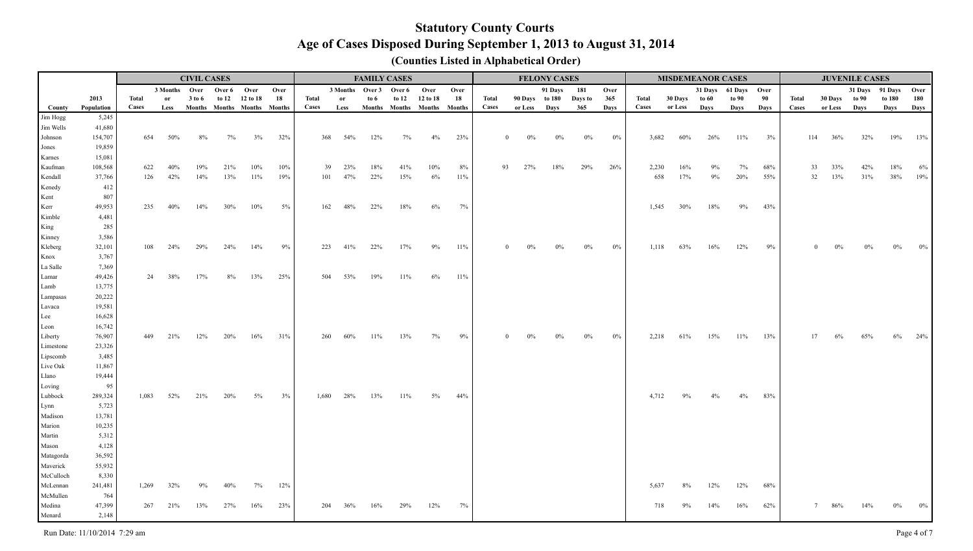|                      |                  |       |               | <b>CIVIL CASES</b> |             |                             |      |       |                        | <b>FAMILY CASES</b> |         |                             |        |              |         | <b>FELONY CASES</b> |         |       |       |         | <b>MISDEMEANOR CASES</b> |                      |      |              |            | <b>JUVENILE CASES</b> |                 |       |
|----------------------|------------------|-------|---------------|--------------------|-------------|-----------------------------|------|-------|------------------------|---------------------|---------|-----------------------------|--------|--------------|---------|---------------------|---------|-------|-------|---------|--------------------------|----------------------|------|--------------|------------|-----------------------|-----------------|-------|
|                      |                  |       | 3 Months Over |                    | Over 6 Over |                             | Over |       | 3 Months Over 3 Over 6 |                     |         | Over                        | Over   |              |         | 91 Days             | 181     | Over  |       |         |                          | 31 Days 61 Days Over |      |              |            |                       | 31 Days 91 Days | Over  |
|                      | 2013             | Total | or            | 3 to 6             | to $12$     | 12 to 18                    | 18   | Total | or                     | to $6\,$            | to $12$ | 12 to 18                    | 18     | Total        |         | 90 Days to 180      | Days to | 365   | Total | 30 Days | to 60                    | to 90                | 90   | <b>Total</b> | 30 Days    | to 90                 | to 180          | 180   |
| County               | Population       | Cases | Less          |                    |             | Months Months Months Months |      | Cases | Less                   |                     |         | Months Months Months Months |        | <b>Cases</b> | or Less | <b>Days</b>         | 365     | Days  | Cases | or Less | Days                     | Days                 | Days | Cases        | or Less    | <b>Days</b>           | Days            | Days  |
| Jim Hogg             | 5,245            |       |               |                    |             |                             |      |       |                        |                     |         |                             |        |              |         |                     |         |       |       |         |                          |                      |      |              |            |                       |                 |       |
| Jim Wells            | 41,680           |       |               |                    |             |                             |      |       |                        |                     |         |                             |        |              |         |                     |         |       |       |         |                          |                      |      |              |            |                       |                 |       |
| Johnson              | 154,707          | 654   | 50%           | 8%                 | 7%          | 3%                          | 32%  | 368   | 54%                    | 12%                 | 7%      | $4\%$                       | 23%    |              | $0\%$   | $0\%$               | 0%      | 0%    | 3,682 | 60%     | 26%                      | 11%                  | 3%   |              | 114<br>36% | 32%                   | 19%             | 13%   |
| Jones                | 19,859           |       |               |                    |             |                             |      |       |                        |                     |         |                             |        |              |         |                     |         |       |       |         |                          |                      |      |              |            |                       |                 |       |
| Karnes               | 15,081           |       |               |                    |             |                             |      |       |                        |                     |         |                             |        |              |         |                     |         |       |       |         |                          |                      |      |              |            |                       |                 |       |
| Kaufman              | 108,568          | 622   |               |                    | 21%         | 10%                         | 10%  |       | 23%<br>39              | 18%                 | 41%     | 10%                         | 8%     | 93           | 27%     | 18%                 | 29%     | 26%   | 2,230 | 16%     |                          | 7%                   | 68%  |              | 33<br>33%  | 42%                   | 18%             | 6%    |
| Kendall              | 37,766           | 126   | 42%           | 14%                | 13%         | $11\%$                      | 19%  | 101   | 47%                    | 22%                 | 15%     | 6%                          | 11%    |              |         |                     |         |       | 658   | 17%     | 9%                       | 20%                  | 55%  |              | 13%<br>32  | 31%                   | 38%             | 19%   |
| Kenedy               | 412              |       |               |                    |             |                             |      |       |                        |                     |         |                             |        |              |         |                     |         |       |       |         |                          |                      |      |              |            |                       |                 |       |
| Kent                 | 807              |       |               |                    |             |                             |      |       |                        |                     |         |                             |        |              |         |                     |         |       |       |         |                          |                      |      |              |            |                       |                 |       |
| Kerr                 | 49,953           | 235   | 40%           | 14%                | 30%         | 10%                         | 5%   | 162   | 48%                    | 22%                 | 18%     | $6\%$                       | 7%     |              |         |                     |         |       | 1,545 | 30%     | 18%                      | 9%                   | 43%  |              |            |                       |                 |       |
| Kimble               | 4,481            |       |               |                    |             |                             |      |       |                        |                     |         |                             |        |              |         |                     |         |       |       |         |                          |                      |      |              |            |                       |                 |       |
| King                 | 285              |       |               |                    |             |                             |      |       |                        |                     |         |                             |        |              |         |                     |         |       |       |         |                          |                      |      |              |            |                       |                 |       |
| Kinney               | 3,586            |       |               |                    |             |                             |      |       |                        |                     |         |                             |        |              |         |                     |         |       |       |         |                          |                      |      |              |            |                       |                 |       |
| Kleberg              | 32,101           | 108   | 24%           | 29%                | 24%         | 14%                         | 9%   | 223   | 41%                    | 22%                 | 17%     | 9%                          | 11%    |              | $0\%$   | $0\%$               | 0%      | $0\%$ | 1,118 | 63%     | 16%                      | 12%                  | 9%   |              |            |                       |                 |       |
| Knox                 | 3,767            |       |               |                    |             |                             |      |       |                        |                     |         |                             |        |              |         |                     |         |       |       |         |                          |                      |      |              |            |                       |                 |       |
| La Salle             | 7,369            |       |               |                    |             |                             |      |       |                        |                     |         |                             |        |              |         |                     |         |       |       |         |                          |                      |      |              |            |                       |                 |       |
| Lamar                | 49,426           | 24    | 38%           | 17%                | $8\%$       | 13%                         | 25%  | 504   | 53%                    | 19%                 | 11%     | 6%                          | $11\%$ |              |         |                     |         |       |       |         |                          |                      |      |              |            |                       |                 |       |
| Lamb                 | 13,775           |       |               |                    |             |                             |      |       |                        |                     |         |                             |        |              |         |                     |         |       |       |         |                          |                      |      |              |            |                       |                 |       |
| Lampasas             | 20,222           |       |               |                    |             |                             |      |       |                        |                     |         |                             |        |              |         |                     |         |       |       |         |                          |                      |      |              |            |                       |                 |       |
| Lavaca               | 19,581           |       |               |                    |             |                             |      |       |                        |                     |         |                             |        |              |         |                     |         |       |       |         |                          |                      |      |              |            |                       |                 |       |
| Lee                  | 16,628           |       |               |                    |             |                             |      |       |                        |                     |         |                             |        |              |         |                     |         |       |       |         |                          |                      |      |              |            |                       |                 |       |
| Leon                 | 16,742<br>76,907 |       |               |                    |             |                             |      | 260   | 60%                    |                     |         |                             |        |              |         |                     |         |       |       |         |                          |                      |      |              | 17         |                       |                 |       |
| Liberty              | 23,326           | 449   | 21%           | 12%                | 20%         | 16%                         | 31%  |       |                        | 11%                 | 13%     | 7%                          | 9%     |              |         |                     | 0%      | $0\%$ | 2,218 | 61%     | 15%                      | 11%                  | 13%  |              | $6\%$      | 65%                   | 6%              | 24%   |
| Limestone            | 3,485            |       |               |                    |             |                             |      |       |                        |                     |         |                             |        |              |         |                     |         |       |       |         |                          |                      |      |              |            |                       |                 |       |
| Lipscomb<br>Live Oak | 11,867           |       |               |                    |             |                             |      |       |                        |                     |         |                             |        |              |         |                     |         |       |       |         |                          |                      |      |              |            |                       |                 |       |
| Llano                | 19,444           |       |               |                    |             |                             |      |       |                        |                     |         |                             |        |              |         |                     |         |       |       |         |                          |                      |      |              |            |                       |                 |       |
| Loving               | 95               |       |               |                    |             |                             |      |       |                        |                     |         |                             |        |              |         |                     |         |       |       |         |                          |                      |      |              |            |                       |                 |       |
| Lubbock              | 289,324          | 1,083 | 52%           | 21%                | 20%         | 5%                          | 3%   | 1,680 | 28%                    | 13%                 | 11%     | 5%                          | 44%    |              |         |                     |         |       | 4,712 |         |                          | 4%                   | 83%  |              |            |                       |                 |       |
| Lynn                 | 5,723            |       |               |                    |             |                             |      |       |                        |                     |         |                             |        |              |         |                     |         |       |       |         |                          |                      |      |              |            |                       |                 |       |
| Madison              | 13,781           |       |               |                    |             |                             |      |       |                        |                     |         |                             |        |              |         |                     |         |       |       |         |                          |                      |      |              |            |                       |                 |       |
| Marion               | 10,235           |       |               |                    |             |                             |      |       |                        |                     |         |                             |        |              |         |                     |         |       |       |         |                          |                      |      |              |            |                       |                 |       |
| Martin               | 5,312            |       |               |                    |             |                             |      |       |                        |                     |         |                             |        |              |         |                     |         |       |       |         |                          |                      |      |              |            |                       |                 |       |
| Mason                | 4,128            |       |               |                    |             |                             |      |       |                        |                     |         |                             |        |              |         |                     |         |       |       |         |                          |                      |      |              |            |                       |                 |       |
| Matagorda            | 36,592           |       |               |                    |             |                             |      |       |                        |                     |         |                             |        |              |         |                     |         |       |       |         |                          |                      |      |              |            |                       |                 |       |
| Maverick             | 55,932           |       |               |                    |             |                             |      |       |                        |                     |         |                             |        |              |         |                     |         |       |       |         |                          |                      |      |              |            |                       |                 |       |
| McCulloch            | 8,330            |       |               |                    |             |                             |      |       |                        |                     |         |                             |        |              |         |                     |         |       |       |         |                          |                      |      |              |            |                       |                 |       |
| McLennan             | 241,481          | 1,269 | 32%           |                    |             | $7\%$                       | 12%  |       |                        |                     |         |                             |        |              |         |                     |         |       | 5,637 |         | 12%                      | 12%                  | 68%  |              |            |                       |                 |       |
| McMullen             | 764              |       |               |                    |             |                             |      |       |                        |                     |         |                             |        |              |         |                     |         |       |       |         |                          |                      |      |              |            |                       |                 |       |
| Medina               | 47,399           | 267   | 21%           | 13%                | 27%         | 16%                         | 23%  | 204   | 36%                    |                     | 29%     | 12%                         | 7%     |              |         |                     |         |       | 718   |         | 14%                      | 16%                  | 62%  |              |            |                       |                 | $0\%$ |
| Menard               | 2,148            |       |               |                    |             |                             |      |       |                        |                     |         |                             |        |              |         |                     |         |       |       |         |                          |                      |      |              |            |                       |                 |       |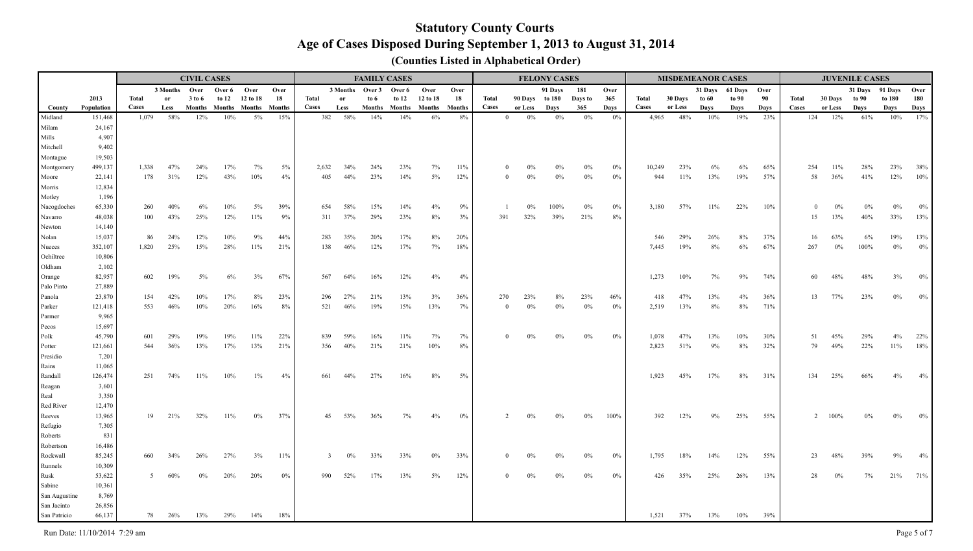|                       |                 |              |               | <b>CIVIL CASES</b> |             |                      |        |              |                 |               | <b>FAMILY CASES</b> |          |               |                |                | <b>FELONY CASES</b> |         |       |        |         | <b>MISDEMEANOR CASES</b> |              |      |          |             | <b>JUVENILE CASES</b> |        |        |
|-----------------------|-----------------|--------------|---------------|--------------------|-------------|----------------------|--------|--------------|-----------------|---------------|---------------------|----------|---------------|----------------|----------------|---------------------|---------|-------|--------|---------|--------------------------|--------------|------|----------|-------------|-----------------------|--------|--------|
|                       |                 |              | 3 Months Over |                    | Over 6 Over |                      | Over   |              | 3 Months Over 3 |               | Over 6              | Over     | Over          |                |                | 91 Days             | 181     | Over  |        |         | 31 Days                  | 61 Days Over |      |          |             | 31 Days 91 Days       |        | Over   |
|                       | 2013            | <b>Total</b> | <b>or</b>     | 3 to 6             | to $12$     | 12 to 18             | 18     | <b>Total</b> | -or             | to 6          | to 12               | 12 to 18 | 18            | <b>Total</b>   | 90 Days to 180 |                     | Days to | 365   | Total  | 30 Days | to 60                    | to 90        | 90   | Total    | 30 Days     | to 90                 | to 180 | 180    |
| County                | Population      | Cases        | Less          |                    |             | Months Months Months | Months | Cases        | Less            | <b>Months</b> | Months              | Months   | <b>Months</b> | Cases          | or Less        | Days                | 365     | Davs  | Cases  | or Less | Days                     | Days         | Days | Cases    | or Less     | Days                  | Days   | Days   |
| Midland               | 151,468         | 1,079        | 58%           | 12%                | 10%         | $5\%$                | 15%    | 382          | 58%             | 14%           | 14%                 | 6%       | 8%            | $\overline{0}$ | $0\%$          | $0\%$               | $0\%$   | 0%    | 4,965  | 48%     | 10%                      | 19%          | 23%  | 124      | 12%         | 61%                   | 10%    | 17%    |
| Milam                 | 24,167          |              |               |                    |             |                      |        |              |                 |               |                     |          |               |                |                |                     |         |       |        |         |                          |              |      |          |             |                       |        |        |
| Mills                 | 4,907           |              |               |                    |             |                      |        |              |                 |               |                     |          |               |                |                |                     |         |       |        |         |                          |              |      |          |             |                       |        |        |
| Mitchell              | 9,402           |              |               |                    |             |                      |        |              |                 |               |                     |          |               |                |                |                     |         |       |        |         |                          |              |      |          |             |                       |        |        |
| Montague              | 19,503          |              |               |                    |             |                      |        |              |                 |               |                     |          |               |                |                |                     |         |       |        |         |                          |              |      |          |             |                       |        |        |
| Montgomery            | 499,137         | 1,338        | 47%           | 24%                | 17%         | 7%                   | 5%     | 2,632        | 34%             | 24%           | 23%                 | 7%       | 11%           | $\theta$       |                |                     |         | 0%    | 10,249 | 23%     | 6%                       | 6%           | 65%  | 254      | 11%         | 28%                   | 23%    | 38%    |
| Moore                 | 22,141          | 178          | 31%           | 12%                | 43%         | 10%                  | 4%     | 405          | 44%             | 23%           | 14%                 | $5\%$    | 12%           | $\theta$       | 0%             | 0%                  | $0\%$   | $0\%$ | 944    | 11%     | 13%                      | 19%          | 57%  | 58       | 36%         | 41%                   | 12%    | $10\%$ |
| Morris                | 12,834          |              |               |                    |             |                      |        |              |                 |               |                     |          |               |                |                |                     |         |       |        |         |                          |              |      |          |             |                       |        |        |
| Motley<br>Nacogdoches | 1,196<br>65,330 | 260          | 40%           | 6%                 | 10%         | 5%                   | 39%    | 654          | 58%             | 15%           | 14%                 | 4%       | 9%            |                | 0%             | 100%                | $0\%$   | $0\%$ | 3,180  | 57%     | 11%                      | 22%          | 10%  | $\theta$ | $0\%$       | 0%                    | $0\%$  | $0\%$  |
| Navarro               | 48,038          | 100          | 43%           | 25%                | 12%         | 11%                  | 9%     | 311          | 37%             | 29%           | 23%                 | 8%       | 3%            | 391            | 32%            | 39%                 | 21%     | 8%    |        |         |                          |              |      | 15       | 13%         | 40%                   | 33%    | 13%    |
| Newton                | 14,140          |              |               |                    |             |                      |        |              |                 |               |                     |          |               |                |                |                     |         |       |        |         |                          |              |      |          |             |                       |        |        |
| Nolan                 | 15,037          | 86           | 24%           | 12%                | 10%         | 9%                   | 44%    | 283          | 35%             | 20%           | 17%                 | 8%       | 20%           |                |                |                     |         |       | 546    | 29%     | 26%                      | 8%           | 37%  | 16       | 63%         | 6%                    | 19%    | 13%    |
| Nueces                | 352,107         | 1,820        | 25%           | 15%                | 28%         | 11%                  | 21%    | 138          | 46%             | 12%           | 17%                 | 7%       | 18%           |                |                |                     |         |       | 7,445  | 19%     | 8%                       | 6%           | 67%  | 267      | $0\%$       | 100%                  | $0\%$  | $0\%$  |
| Ochiltree             | 10,806          |              |               |                    |             |                      |        |              |                 |               |                     |          |               |                |                |                     |         |       |        |         |                          |              |      |          |             |                       |        |        |
| Oldham                | 2,102           |              |               |                    |             |                      |        |              |                 |               |                     |          |               |                |                |                     |         |       |        |         |                          |              |      |          |             |                       |        |        |
| Orange                | 82,957          | 602          | 19%           | 5%                 | 6%          | 3%                   | 67%    | 567          | 64%             | 16%           | 12%                 | 4%       | 4%            |                |                |                     |         |       | 1,273  | 10%     | 7%                       | 9%           | 74%  | 60       | 48%         | 48%                   | 3%     | $0\%$  |
| Palo Pinto            | 27,889          |              |               |                    |             |                      |        |              |                 |               |                     |          |               |                |                |                     |         |       |        |         |                          |              |      |          |             |                       |        |        |
| Panola                | 23,870          | 154          | 42%           | 10%                | 17%         | 8%                   | 23%    | 296          | 27%             | 21%           | 13%                 | 3%       | 36%           | 270            | 23%            |                     | 23%     | 46%   | 418    | 47%     | 13%                      | 4%           | 36%  | 13       | 77%         | 23%                   | $0\%$  | $0\%$  |
| Parker                | 121,418         | 553          | 46%           | 10%                | 20%         | 16%                  | 8%     | 521          | 46%             | 19%           | 15%                 | 13%      | 7%            | $\bf{0}$       | $0\%$          | 0%                  | $0\%$   | 0%    | 2,519  | 13%     | 8%                       | 8%           | 71%  |          |             |                       |        |        |
| Parmer                | 9,965           |              |               |                    |             |                      |        |              |                 |               |                     |          |               |                |                |                     |         |       |        |         |                          |              |      |          |             |                       |        |        |
| Pecos                 | 15,697          |              |               |                    |             |                      |        |              |                 |               |                     |          |               |                |                |                     |         |       |        |         |                          |              |      |          |             |                       |        |        |
| Polk                  | 45,790          | 601          | 29%           |                    |             | 11%                  | 22%    | 839          | 59%             | 16%           | 11%                 | 7%       | 7%            | $\Omega$       |                |                     | $0\%$   | 0%    | 1,078  | 47%     | 13%                      | 10%          | 30%  | 51       | 45%         | 29%                   | $4\%$  | 22%    |
| Potter                | 121,661         | 544          | 36%           | 13%                | 17%         | 13%                  | 21%    | 356          | 40%             | 21%           | 21%                 | 10%      | 8%            |                |                |                     |         |       | 2,823  | 51%     | 9%                       | 8%           | 32%  | 79       | 49%         | 22%                   | 11%    | 18%    |
| Presidio              | 7,201           |              |               |                    |             |                      |        |              |                 |               |                     |          |               |                |                |                     |         |       |        |         |                          |              |      |          |             |                       |        |        |
| Rains                 | 11,065          |              |               |                    |             |                      |        |              |                 |               |                     |          |               |                |                |                     |         |       |        |         |                          |              |      |          |             |                       |        |        |
| Randall               | 126,474         | 251          | 74%           | $11\%$             | 10%         | $1\%$                | 4%     | 661          | 44%             | 27%           | 16%                 | 8%       | 5%            |                |                |                     |         |       | 1,923  | 45%     | 17%                      | $8\%$        | 31%  | 134      | 25%         | 66%                   | 4%     | 4%     |
| Reagan                | 3,601           |              |               |                    |             |                      |        |              |                 |               |                     |          |               |                |                |                     |         |       |        |         |                          |              |      |          |             |                       |        |        |
| Real                  | 3,350           |              |               |                    |             |                      |        |              |                 |               |                     |          |               |                |                |                     |         |       |        |         |                          |              |      |          |             |                       |        |        |
| Red River             | 12,470          |              |               |                    |             |                      |        |              |                 |               |                     |          |               |                |                |                     |         |       |        |         |                          |              |      |          |             |                       |        |        |
| Reeves                | 13,965          | 19           | 21%           | 32%                | 11%         | $0\%$                | 37%    | 45           | 53%             | 36%           | 7%                  |          | 0%            |                |                |                     | $0\%$   | 100%  | 392    | 12%     |                          | 25%          | 55%  |          | $2 \t100\%$ |                       | $0\%$  | $0\%$  |
| Refugio               | 7,305           |              |               |                    |             |                      |        |              |                 |               |                     |          |               |                |                |                     |         |       |        |         |                          |              |      |          |             |                       |        |        |
| Roberts               | 831             |              |               |                    |             |                      |        |              |                 |               |                     |          |               |                |                |                     |         |       |        |         |                          |              |      |          |             |                       |        |        |
| Robertson             | 16,486          |              |               |                    |             |                      |        |              |                 |               |                     |          |               |                |                |                     |         |       |        |         |                          |              |      |          |             |                       |        |        |
| Rockwall              | 85,245          | 660          | 34%           | 26%                | 27%         | 3%                   | 11%    | 3            |                 | 33%           | 33%                 | $0\%$    | 33%           |                |                |                     | $0\%$   | 0%    | 1,795  | 18%     | 14%                      | 12%          | 55%  | 23       | 48%         | 39%                   | 9%     | 4%     |
| Runnels               | 10,309          |              |               |                    |             |                      |        |              |                 |               |                     |          |               |                |                |                     |         |       |        |         |                          |              |      |          |             |                       |        |        |
| Rusk                  | 53,622          | $\sim$       |               |                    | 20%         | 20%                  | $0\%$  | 990          | 52%             | 17%           | 13%                 | $5\%$    | 12%           |                |                |                     | 0%      | $0\%$ | 426    | 35%     | 25%                      | 26%          | 13%  | 28       | 0%          |                       | 21%    | 71%    |
| Sabine                | 10,361          |              |               |                    |             |                      |        |              |                 |               |                     |          |               |                |                |                     |         |       |        |         |                          |              |      |          |             |                       |        |        |
| San Augustine         | 8,769           |              |               |                    |             |                      |        |              |                 |               |                     |          |               |                |                |                     |         |       |        |         |                          |              |      |          |             |                       |        |        |
| San Jacinto           | 26,856          |              |               |                    |             |                      |        |              |                 |               |                     |          |               |                |                |                     |         |       |        |         |                          |              |      |          |             |                       |        |        |
| San Patricio          | 66,137          | 78           | 26%           | 13%                | 29%         | 14%                  | 18%    |              |                 |               |                     |          |               |                |                |                     |         |       | 1,521  | 37%     | 13%                      | $10\%$       | 39%  |          |             |                       |        |        |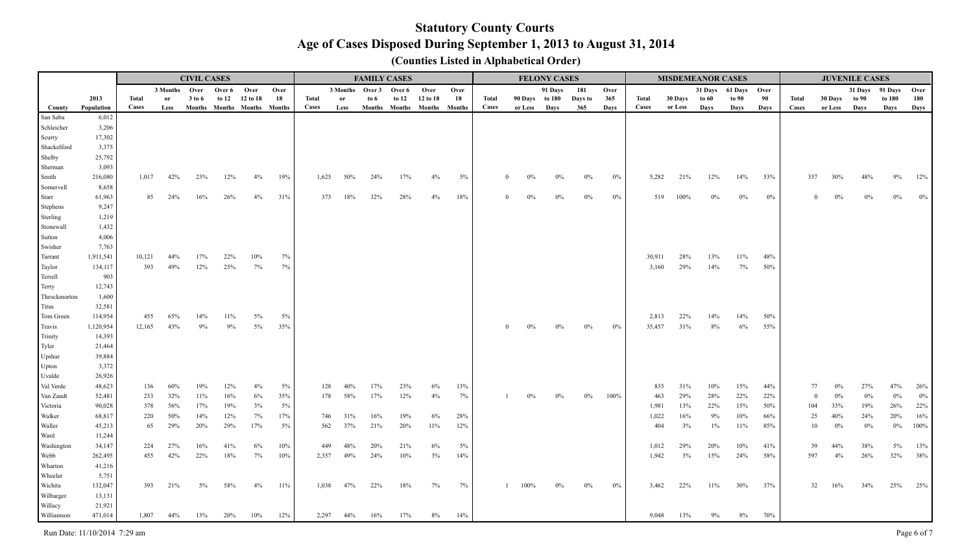|                       |                  |            |               | <b>CIVIL CASES</b> |             |                             |           |       |      | <b>FAMILY CASES</b>    |                             |             |           |          |                | <b>FELONY CASES</b> |         |       |              | <b>MISDEMEANOR CASES</b> |            |                      |            |              |                   | <b>JUVENILE CASES</b> |              |              |
|-----------------------|------------------|------------|---------------|--------------------|-------------|-----------------------------|-----------|-------|------|------------------------|-----------------------------|-------------|-----------|----------|----------------|---------------------|---------|-------|--------------|--------------------------|------------|----------------------|------------|--------------|-------------------|-----------------------|--------------|--------------|
|                       |                  |            | 3 Months Over |                    | Over 6 Over |                             | Over      |       |      | 3 Months Over 3 Over 6 |                             | Over        | Over      |          |                | 91 Days             | 181     | Over  |              |                          |            | 31 Days 61 Days Over |            |              |                   | 31 Days 91 Days       |              | Over         |
|                       | 2013             | Total      | or            | 3 to 6             | to $12$     | 12 to 18                    | 18        | Total | or   | to 6                   | to $12$                     | 12 to 18    | 18        | Total    | 90 Days to 180 |                     | Days to | 365   | <b>Total</b> | 30 Days                  | to 60      | to 90                | 90         | <b>Total</b> | 30 Days to 90     |                       | to 180       | 180          |
| County                | Population       | Cases      | Less          |                    |             | Months Months Months Months |           | Cases | Less |                        | Months Months Months Months |             |           | Cases    | or Less        | Days                | 365     | Davs  | Cases        | or Less                  | Davs       | Days                 | Days       | Cases        | or Less           | Days                  | Days         | Days         |
| San Saba              | 6,012            |            |               |                    |             |                             |           |       |      |                        |                             |             |           |          |                |                     |         |       |              |                          |            |                      |            |              |                   |                       |              |              |
| Schleicher            | 3,206            |            |               |                    |             |                             |           |       |      |                        |                             |             |           |          |                |                     |         |       |              |                          |            |                      |            |              |                   |                       |              |              |
| Scurry                | 17,302           |            |               |                    |             |                             |           |       |      |                        |                             |             |           |          |                |                     |         |       |              |                          |            |                      |            |              |                   |                       |              |              |
| Shackelford           | 3,375<br>25,792  |            |               |                    |             |                             |           |       |      |                        |                             |             |           |          |                |                     |         |       |              |                          |            |                      |            |              |                   |                       |              |              |
| Shelby<br>Sherman     | 3,093            |            |               |                    |             |                             |           |       |      |                        |                             |             |           |          |                |                     |         |       |              |                          |            |                      |            |              |                   |                       |              |              |
| Smith                 | 216,080          | 1,017      | 42%           | 23%                | 12%         | 4%                          | 19%       | 1,625 | 50%  | 24%                    | 17%                         | 4%          | 5%        | $\Omega$ | $0\%$          | $0\%$               | $0\%$   | $0\%$ | 5,282        | 21%                      | 12%        | 14%                  | 53%        | 357          | 30%               | 48%                   | 9%           | 12%          |
| Somervell             | 8,658            |            |               |                    |             |                             |           |       |      |                        |                             |             |           |          |                |                     |         |       |              |                          |            |                      |            |              |                   |                       |              |              |
| Starr                 | 61,963           | 85         | 24%           | 16%                | 26%         | 4%                          | 31%       | 373   | 18%  | 32%                    | 28%                         | 4%          | 18%       | $\Omega$ | 0%             | $0\%$               | $0\%$   | $0\%$ | 519          | 100%                     | $0\%$      | 0%                   | $0\%$      |              | 0%<br>$\Omega$    | 0%                    | $0\%$        | $0\%$        |
| <b>Stephens</b>       | 9,247            |            |               |                    |             |                             |           |       |      |                        |                             |             |           |          |                |                     |         |       |              |                          |            |                      |            |              |                   |                       |              |              |
| Sterling              | 1,219            |            |               |                    |             |                             |           |       |      |                        |                             |             |           |          |                |                     |         |       |              |                          |            |                      |            |              |                   |                       |              |              |
| Stonewall             | 1,432            |            |               |                    |             |                             |           |       |      |                        |                             |             |           |          |                |                     |         |       |              |                          |            |                      |            |              |                   |                       |              |              |
| Sutton                | 4,006            |            |               |                    |             |                             |           |       |      |                        |                             |             |           |          |                |                     |         |       |              |                          |            |                      |            |              |                   |                       |              |              |
| Swisher               | 7,763            |            |               |                    |             |                             |           |       |      |                        |                             |             |           |          |                |                     |         |       |              |                          |            |                      |            |              |                   |                       |              |              |
| Tarrant               | 1,911,541        | 10,121     | 44%           | 17%                | 22%         | $10\%$                      | 7%        |       |      |                        |                             |             |           |          |                |                     |         |       | 30,911       | 28%                      | 13%        | 11%                  | 48%        |              |                   |                       |              |              |
| Taylor                | 134,117          | 393        | 49%           | 12%                | 25%         | 7%                          | 7%        |       |      |                        |                             |             |           |          |                |                     |         |       | 3,160        | 29%                      | 14%        | 7%                   | 50%        |              |                   |                       |              |              |
| Terrell               | 903              |            |               |                    |             |                             |           |       |      |                        |                             |             |           |          |                |                     |         |       |              |                          |            |                      |            |              |                   |                       |              |              |
| Terry                 | 12,743           |            |               |                    |             |                             |           |       |      |                        |                             |             |           |          |                |                     |         |       |              |                          |            |                      |            |              |                   |                       |              |              |
| Throckmorton          | 1,600            |            |               |                    |             |                             |           |       |      |                        |                             |             |           |          |                |                     |         |       |              |                          |            |                      |            |              |                   |                       |              |              |
| Titus                 | 32,581           |            |               |                    |             |                             |           |       |      |                        |                             |             |           |          |                |                     |         |       |              |                          |            |                      |            |              |                   |                       |              |              |
| Tom Green             | 114,954          | 455        | 65%           | 14%                | $11\%$      | $5\%$                       | 5%        |       |      |                        |                             |             |           |          |                |                     |         |       | 2,813        | 22%                      | 14%        | 14%                  | 50%        |              |                   |                       |              |              |
| Travis                | 1,120,954        | 12,165     | 43%           | 9%                 | 9%          | $5\%$                       | 35%       |       |      |                        |                             |             |           |          | $0\%$          | $0\%$               | $0\%$   | $0\%$ | 35,457       | 31%                      | 8%         | $6\%$                | 55%        |              |                   |                       |              |              |
| Trinity               | 14,393           |            |               |                    |             |                             |           |       |      |                        |                             |             |           |          |                |                     |         |       |              |                          |            |                      |            |              |                   |                       |              |              |
| Tyler                 | 21,464           |            |               |                    |             |                             |           |       |      |                        |                             |             |           |          |                |                     |         |       |              |                          |            |                      |            |              |                   |                       |              |              |
| Upshur                | 39,884           |            |               |                    |             |                             |           |       |      |                        |                             |             |           |          |                |                     |         |       |              |                          |            |                      |            |              |                   |                       |              |              |
| Upton                 | 3,372            |            |               |                    |             |                             |           |       |      |                        |                             |             |           |          |                |                     |         |       |              |                          |            |                      |            |              |                   |                       |              |              |
| Uvalde                | 26,926           |            |               |                    |             |                             |           |       |      |                        |                             |             |           |          |                |                     |         |       |              |                          |            |                      |            |              |                   |                       |              |              |
| Val Verde             | 48,623           | 136        | 60%<br>32%    | 19%<br>$11\%$      | 12%<br>16%  | 4%                          | 5%        | 128   | 40%  | 17%                    | 23%                         | $6\%$<br>4% | 13%<br>7% |          |                |                     |         | 100%  | 835          | 31%<br>29%               | 10%<br>28% | 15%                  | 44%        |              | 77<br>0%<br>$0\%$ | 27%<br>$0\%$          | 47%<br>$0\%$ | 26%          |
| Van Zandt<br>Victoria | 52,481<br>90,028 | 233<br>378 | 56%           | 17%                | 19%         | $6\%$<br>3%                 | 35%<br>5% | 178   | 58%  | 17%                    | 12%                         |             |           |          |                |                     | $0\%$   |       | 463<br>1,981 | 13%                      | 22%        | 22%<br>15%           | 22%<br>50% | 104          | $\bf{0}$<br>33%   | 19%                   | 26%          | $0\%$<br>22% |
| Walker                | 68,817           | 220        | 50%           | 14%                | 12%         | 7%                          | 17%       | 746   | 31%  | 16%                    | 19%                         | $6\%$       | 28%       |          |                |                     |         |       | 1,022        | 16%                      | 9%         | 10%                  | 66%        |              | 25<br>40%         | 24%                   | 20%          | 16%          |
| Waller                | 45,213           | 65         | 29%           | 20%                | 29%         | 17%                         | 5%        | 562   | 37%  | 21%                    | 20%                         | $11\%$      | 12%       |          |                |                     |         |       | 404          | 3%                       | $1\%$      | 11%                  | 85%        |              | 10<br>$0\%$       | $0\%$                 | $0\%$        | 100%         |
| Ward                  | 11,244           |            |               |                    |             |                             |           |       |      |                        |                             |             |           |          |                |                     |         |       |              |                          |            |                      |            |              |                   |                       |              |              |
| Washington            | 34,147           | 224        | 27%           | 16%                | 41%         | 6%                          | 10%       | 449   | 48%  | 20%                    | 21%                         | $6\%$       | $5\%$     |          |                |                     |         |       | 1,012        | 29%                      | 20%        | 10%                  | 41%        |              | 39<br>44%         | 38%                   | $5\%$        | 13%          |
| Webb                  | 262,495          | 455        | 42%           | 22%                | 18%         | 7%                          | 10%       | 2,357 | 49%  | 24%                    | 10%                         | 3%          | 14%       |          |                |                     |         |       | 1,942        | 3%                       | 15%        | 24%                  | 58%        | 597          | 4%                | 26%                   | 32%          | 38%          |
| Wharton               | 41,216           |            |               |                    |             |                             |           |       |      |                        |                             |             |           |          |                |                     |         |       |              |                          |            |                      |            |              |                   |                       |              |              |
| Wheeler               | 5,751            |            |               |                    |             |                             |           |       |      |                        |                             |             |           |          |                |                     |         |       |              |                          |            |                      |            |              |                   |                       |              |              |
| Wichita               | 132,047          | 393        | 21%           | 5%                 | 58%         | 4%                          | 11%       | 1,038 | 47%  | 22%                    | 18%                         | 7%          | 7%        |          | 100%           |                     | 0%      | $0\%$ | 3,462        | 22%                      | 11%        | 30%                  | 37%        |              | 32<br>16%         | 34%                   | 25%          | 25%          |
| Wilbarger             | 13,131           |            |               |                    |             |                             |           |       |      |                        |                             |             |           |          |                |                     |         |       |              |                          |            |                      |            |              |                   |                       |              |              |
| Willacy               | 21,921           |            |               |                    |             |                             |           |       |      |                        |                             |             |           |          |                |                     |         |       |              |                          |            |                      |            |              |                   |                       |              |              |
| Williamson            | 471,014          | 1,807      | 44%           | 13%                | 20%         | 10%                         | 12%       | 2,297 | 44%  | 16%                    | 17%                         | $8\%$       | 14%       |          |                |                     |         |       | 9,048        | 13%                      | 9%         | 8%                   | 70%        |              |                   |                       |              |              |